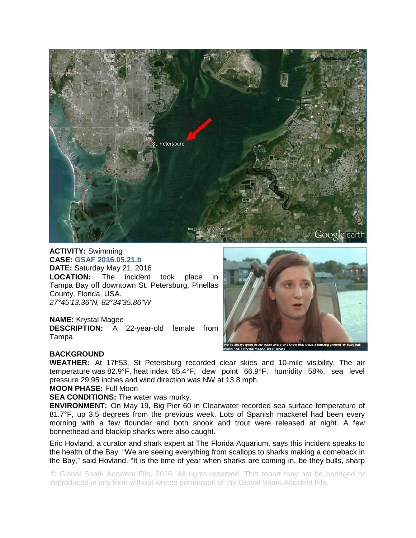

**ACTIVITY:** Swimming **CASE: GSAF 2016.05.21.b DATE: Saturday May 21, 2016**<br>**LOCATION:** The incident The incident took place in Tampa Bay off downtown St. Petersburg, Pinellas County, Florida, USA. *27°45'13.36"N, 82°34'35.86"W* 

## **NAME:** Krystal Magee

**DESCRIPTION:** A 22-year-old female from Tampa.



## **BACKGROUND**

**WEATHER:** At 17h53, St Petersburg recorded clear skies and 10-mile visibility. The air temperature was 82.9°F, heat index 85.4°F, dew point 66.9°F, humidity 58%, sea level pressure 29.95 inches and wind direction was NW at 13.8 mph.

**MOON PHASE:** Full Moon

## **SEA CONDITIONS:** The water was murky.

**ENVIRONMENT:** On May 19, Big Pier 60 in Clearwater recorded sea surface temperature of 81.7°F, up 3.5 degrees from the previous week. Lots of Spanish mackerel had been every morning with a few flounder and both snook and trout were released at night. A few bonnethead and blacktip sharks were also caught.

Eric Hovland, a curator and shark expert at The Florida Aquarium, says this incident speaks to the health of the Bay. "We are seeing everything from scallops to sharks making a comeback in the Bay," said Hovland. "It is the time of year when sharks are coming in, be they bulls, sharp

© Global Shark Accident File, 2016. All rights reserved. This report may not be abridged or reproduced in any form without written permission of the Global Shark Accident File.